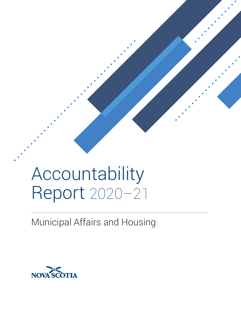# Accountability Report 2020–21

Municipal Affairs and Housing

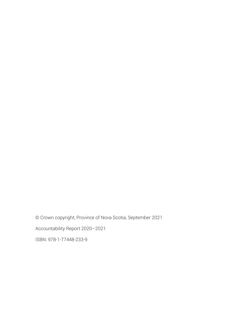© Crown copyright, Province of Nova Scotia, September 2021

Accountability Report 2020–2021

ISBN: 978-1-77448-233-9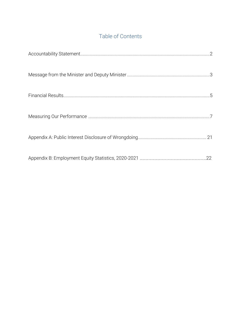# Table of Contents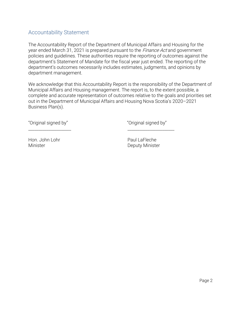# Accountability Statement

The Accountability Report of the Department of Municipal Affairs and Housing for the year ended March 31, 2021 is prepared pursuant to the *Finance Act* and government policies and guidelines. These authorities require the reporting of outcomes against the department's Statement of Mandate for the fiscal year just ended. The reporting of the department's outcomes necessarily includes estimates, judgments, and opinions by department management.

We acknowledge that this Accountability Report is the responsibility of the Department of Municipal Affairs and Housing management. The report is, to the extent possible, a complete and accurate representation of outcomes relative to the goals and priorities set out in the Department of Municipal Affairs and Housing Nova Scotia's 2020–2021 Business Plan(s).

\_\_\_\_\_\_\_\_\_\_\_\_\_\_\_\_\_\_\_\_\_ \_\_\_\_\_\_\_\_\_\_\_\_\_\_\_\_\_\_\_\_\_\_\_

"Original signed by" "Original signed by"

Hon. John Lohr Paul LaFleche

Minister **Deputy Minister**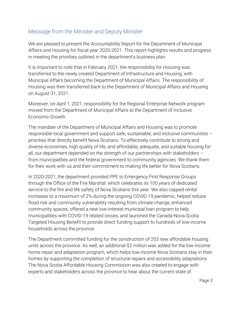# Message from the Minister and Deputy Minister

We are pleased to present the Accountability Report for the Department of Municipal Affairs and Housing for fiscal year 2020-2021. This report highlights results and progress in meeting the priorities outlined in the department's business plan.

It is important to note that in February 2021, the responsibility for Housing was transferred to the newly created Department of Infrastructure and Housing, with Municipal Affairs becoming the Department of Municipal Affairs. The responsibility of Housing was then transferred back to the Department of Municipal Affairs and Housing on August 31, 2021.

Moreover, on April 1, 2021, responsibility for the Regional Enterprise Network program moved from the Department of Municipal Affairs to the Department of Inclusive Economic Growth.

The mandate of the Department of Municipal Affairs and Housing was to promote responsible local government and support safe, sustainable, and inclusive communities – priorities that directly benefit Nova Scotians. To effectively contribute to strong and diverse economies, high quality of life, and affordable, adequate, and suitable housing for all, our department depended on the strength of our partnerships with stakeholders – from municipalities and the federal government to community agencies. We thank them for their work with us and their commitment to making life better for Nova Scotians.

In 2020-2021, the department provided PPE to Emergency First Response Groups through the Office of the Fire Marshal: which celebrates its 100 years of dedicated service to the fire and life safety of Nova Scotians this year. We also capped rental increases to a maximum of 2% during the ongoing COVID-19 pandemic, helped reduce flood risk and community vulnerability resulting from climate change, enhanced community spaces, offered a new low-interest municipal loan program to help municipalities with COVID-19 related losses, and launched the Canada-Nova Scotia Targeted Housing Benefit to provide direct funding support to hundreds of low-income households across the province.

The Department committed funding for the construction of 203 new affordable housing units across the province. As well, an additional \$2 million was added for the low-income home repair and adaptation program, which helps low-income Nova Scotians stay in their homes by supporting the completion of structural repairs and accessibility adaptations. The Nova Scotia Affordable Housing Commission was also created to engage with experts and stakeholders across the province to hear about the current state of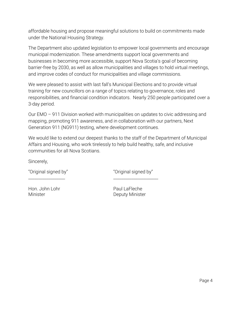affordable housing and propose meaningful solutions to build on commitments made under the National Housing Strategy.

The Department also updated legislation to empower local governments and encourage municipal modernization. These amendments support local governments and businesses in becoming more accessible, support Nova Scotia's goal of becoming barrier-free by 2030, as well as allow municipalities and villages to hold virtual meetings, and improve codes of conduct for municipalities and village commissions.

We were pleased to assist with last fall's Municipal Elections and to provide virtual training for new councillors on a range of topics relating to governance, roles and responsibilities, and financial condition indicators. Nearly 250 people participated over a 3-day period.

Our EMO – 911 Division worked with municipalities on updates to civic addressing and mapping, promoting 911 awareness, and in collaboration with our partners, Next Generation 911 (NG911) testing, where development continues.

We would like to extend our deepest thanks to the staff of the Department of Municipal Affairs and Housing, who work tirelessly to help build healthy, safe, and inclusive communities for all Nova Scotians.

 $\frac{1}{2}$  ,  $\frac{1}{2}$  ,  $\frac{1}{2}$  ,  $\frac{1}{2}$  ,  $\frac{1}{2}$  ,  $\frac{1}{2}$  ,  $\frac{1}{2}$  ,  $\frac{1}{2}$  ,  $\frac{1}{2}$  ,  $\frac{1}{2}$  ,  $\frac{1}{2}$  ,  $\frac{1}{2}$  ,  $\frac{1}{2}$  ,  $\frac{1}{2}$  ,  $\frac{1}{2}$  ,  $\frac{1}{2}$  ,  $\frac{1}{2}$  ,  $\frac{1}{2}$  ,  $\frac{1$ 

Sincerely,

"Original signed by" "Original signed by"

Hon. John Lohr Paul LaFleche

Minister **Deputy Minister**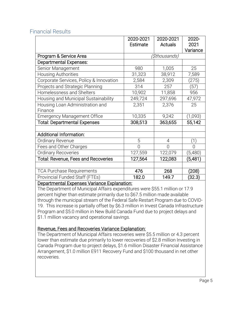|                                            | 2020-2021            | 2020-2021      | 2020-    |
|--------------------------------------------|----------------------|----------------|----------|
|                                            | Estimate             | Actuals        | 2021     |
|                                            |                      |                | Variance |
| Program & Service Area                     | <i>(\$thousands)</i> |                |          |
| Departmental Expenses:                     |                      |                |          |
| Senior Management                          | 980                  | 1,005          | 25       |
| <b>Housing Authorities</b>                 | 31,323               | 38,912         | 7,589    |
| Corporate Services, Policy & Innovation    | 2,584                | 2,309          | (275)    |
| Projects and Strategic Planning            | 314                  | 257            | (57)     |
| Homelessness and Shelters                  | 10,902               | 11,858         | 956      |
| Housing and Municipal Sustainability       | 249,724              | 297,696        | 47,972   |
| Housing Loan Administration and            | 2,351                | 2,376          | 25       |
| Finance                                    |                      |                |          |
| <b>Emergency Management Office</b>         | 10,335               | 9,242          | (1,093)  |
| <b>Total: Departmental Expenses</b>        | 308,513              | 363,655        | 55,142   |
|                                            |                      |                |          |
| <b>Additional Information:</b>             |                      |                |          |
| Ordinary Revenue                           | 5                    | 4              | (1)      |
| Fees and Other Charges                     | 0                    | $\overline{0}$ | 0        |
| <b>Ordinary Recoveries</b>                 | 127,559              | 122,079        | (5,480)  |
| <b>Total: Revenue, Fees and Recoveries</b> | 127,564              | 122,083        | (5,481)  |
|                                            |                      |                |          |
| <b>TCA Purchase Requirements</b>           | 476                  | 268            | (208)    |
| Provincial Funded Staff (FTEs)             | 182.0                | 149.7          | (32.3)   |

# Financial Results

#### Departmental Expenses Variance Explanation:

The Department of Municipal Affairs expenditures were \$55.1 million or 17.9 percent higher than estimate primarily due to \$67.5 million made available through the municipal stream of the Federal Safe Restart Program due to COVID-19. This increase is partially offset by \$6.3 million in Invest Canada Infrastructure Program and \$5.0 million in New Build Canada Fund due to project delays and \$1.1 million vacancy and operational savings.

# Revenue, Fees and Recoveries Variance Explanation:

The Department of Municipal Affairs recoveries were \$5.5 million or 4.3 percent lower than estimate due primarily to lower recoveries of \$2.8 million Investing in Canada Program due to project delays, \$1.6 million Disaster Financial Assistance Arrangement, \$1.0 million E911 Recovery Fund and \$100 thousand in net other recoveries.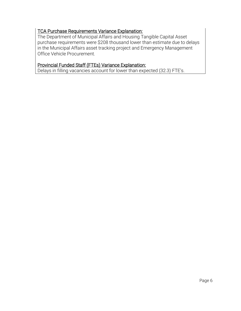# TCA Purchase Requirements Variance Explanation:

The Department of Municipal Affairs and Housing Tangible Capital Asset purchase requirements were \$208 thousand lower than estimate due to delays in the Municipal Affairs asset tracking project and Emergency Management Office Vehicle Procurement.

#### Provincial Funded Staff (FTEs) Variance Explanation:

Delays in filling vacancies account for lower than expected (32.3) FTE's.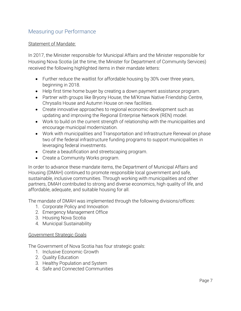# Measuring our Performance

#### Statement of Mandate:

In 2017, the Minister responsible for Municipal Affairs and the Minister responsible for Housing Nova Scotia (at the time, the Minister for Department of Community Services) received the following highlighted items in their mandate letters:

- Further reduce the waitlist for affordable housing by 30% over three years, beginning in 2018.
- Help first time home buyer by creating a down payment assistance program.
- Partner with groups like Bryony House, the Mi'Kmaw Native Friendship Centre, Chrysalis House and Autumn House on new facilities.
- Create innovative approaches to regional economic development such as updating and improving the Regional Enterprise Network (REN) model.
- Work to build on the current strength of relationship with the municipalities and encourage municipal modernization.
- Work with municipalities and Transportation and Infrastructure Renewal on phase two of the federal infrastructure funding programs to support municipalities in leveraging federal investments.
- Create a beautification and streetscaping program.
- Create a Community Works program.

In order to advance these mandate items, the Department of Municipal Affairs and Housing (DMAH) continued to promote responsible local government and safe, sustainable, inclusive communities. Through working with municipalities and other partners, DMAH contributed to strong and diverse economics, high quality of life, and affordable, adequate, and suitable housing for all.

The mandate of DMAH was implemented through the following divisions/offices:

- 1. Corporate Policy and Innovation
- 2. Emergency Management Office
- 3. Housing Nova Scotia
- 4. Municipal Sustainability

#### Government Strategic Goals

The Government of Nova Scotia has four strategic goals:

- 1. Inclusive Economic Growth
- 2. Quality Education
- 3. Healthy Population and System
- 4. Safe and Connected Communities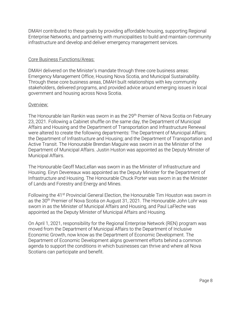DMAH contributed to these goals by providing affordable housing, supporting Regional Enterprise Networks, and partnering with municipalities to build and maintain community infrastructure and develop and deliver emergency management services.

#### Core Business Functions/Areas:

DMAH delivered on the Minister's mandate through three core business areas: Emergency Management Office, Housing Nova Scotia, and Municipal Sustainability. Through these core business areas, DMAH built relationships with key community stakeholders, delivered programs, and provided advice around emerging issues in local government and housing across Nova Scotia.

#### Overview:

The Honourable Iain Rankin was sworn in as the 29<sup>th</sup> Premier of Nova Scotia on February 23, 2021. Following a Cabinet shuffle on the same day, the Department of Municipal Affairs and Housing and the Department of Transportation and Infrastructure Renewal were altered to create the following departments: The Department of Municipal Affairs; the Department of Infrastructure and Housing; and the Department of Transportation and Active Transit. The Honourable Brendan Maguire was sworn in as the Minister of the Department of Municipal Affairs. Justin Huston was appointed as the Deputy Minister of Municipal Affairs.

The Honourable Geoff MacLellan was sworn in as the Minister of Infrastructure and Housing. Eiryn Devereaux was appointed as the Deputy Minister for the Department of Infrastructure and Housing. The Honourable Chuck Porter was sworn in as the Minister of Lands and Forestry and Energy and Mines.

Following the 41<sup>st</sup> Provincial General Election, the Honourable Tim Houston was sworn in as the 30<sup>th</sup> Premier of Nova Scotia on August 31, 2021. The Honourable John Lohr was sworn in as the Minister of Municipal Affairs and Housing, and Paul LaFleche was appointed as the Deputy Minister of Municipal Affairs and Housing.

On April 1, 2021, responsibility for the Regional Enterprise Network (REN) program was moved from the Department of Municipal Affairs to the Department of Inclusive Economic Growth, now know as the Department of Economic Development. The Department of Economic Development aligns government efforts behind a common agenda to support the conditions in which businesses can thrive and where all Nova Scotians can participate and benefit.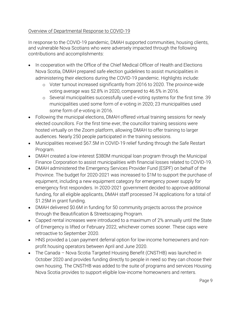# Overview of Departmental Response to COVID-19

In response to the COVID-19 pandemic, DMAH supported communities, housing clients, and vulnerable Nova Scotians who were adversely impacted through the following contributions and accomplishments:

- In cooperation with the Office of the Chief Medical Officer of Health and Elections Nova Scotia, DMAH prepared safe election guidelines to assist municipalities in administering their elections during the COVID-19 pandemic. Highlights include:
	- o Voter turnout increased significantly from 2016 to 2020. The province-wide voting average was 52.8% in 2020, compared to 46.5% in 2016.
	- o Several municipalities successfully used e-voting systems for the first time. 39 municipalities used some form of e-voting in 2020; 23 municipalities used some form of e-voting in 2016.
- Following the municipal elections, DMAH offered virtual training sessions for newly elected councillors. For the first time ever, the councillor training sessions were hosted virtually on the Zoom platform, allowing DMAH to offer training to larger audiences. Nearly 250 people participated in the training sessions.
- Municipalities received \$67.5M in COVID-19 relief funding through the Safe Restart Program.
- DMAH created a low-interest \$380M municipal loan program through the Municipal Finance Corporation to assist municipalities with financial losses related to COVID-19.
- DMAH administered the Emergency Services Provider Fund (ESPF) on behalf of the Province. The budget for 2020-2021 was increased to \$1M to support the purchase of equipment, including a new equipment category for emergency power supply for emergency first responders. In 2020-2021 government decided to approve additional funding, for all eligible applicants, DMAH staff processed 74 applications for a total of \$1.25M in grant funding.
- DMAH delivered \$0.6M in funding for 50 community projects across the province through the Beautification & Streetscaping Program.
- Capped rental increases were introduced to a maximum of 2% annually until the State of Emergency is lifted or February 2022, whichever comes sooner. These caps were retroactive to September 2020.
- HNS provided a Loan payment deferral option for low-income homeowners and nonprofit housing operators between April and June 2020.
- The Canada Nova Scotia Targeted Housing Benefit (CNSTHB) was launched in October 2020 and provides funding directly to people in need so they can choose their own housing. The CNSTHB was added to the suite of programs and services Housing Nova Scotia provides to support eligible low-income homeowners and renters.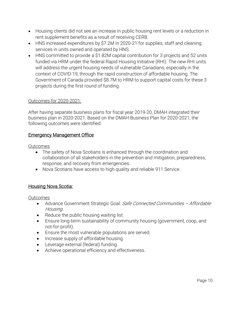- Housing clients did not see an increase in public housing rent levels or a reduction in rent supplement benefits as a result of receiving CERB.
- HNS increased expenditures by \$7.2M in 2020-21 for supplies, staff and cleaning services in units owned and operated by HNS.
- HNS committed to provide a \$1.82M capital contribution for 3 projects and 52 units funded via HRM under the federal Rapid Housing Initiative (RHI). The new RHI units will address the urgent housing needs of vulnerable Canadians, especially in the context of COVID-19, through the rapid construction of affordable housing. The Government of Canada provided \$8.7M to HRM to support capital costs for these 3 projects during the first round of funding.

# Outcomes for 2020-2021:

After having separate business plans for fiscal year 2019-20, DMAH integrated their business plan in 2020-2021. Based on the DMAH Business Plan for 2020-2021, the following outcomes were identified:

#### Emergency Management Office

#### Outcomes

- The safety of Nova Scotians is enhanced through the coordination and collaboration of all stakeholders in the prevention and mitigation, preparedness, response, and recovery from emergencies.
- Nova Scotians have access to high quality and reliable 911 Service.

# Housing Nova Scotia:

Outcomes

- Advance Government Strategic Goal: Safe Connected Communities Affordable Housing.
- Reduce the public housing waiting list.
- Ensure long-term sustainability of community housing (government, coop, and not-for-profit).
- Ensure the most vulnerable populations are served.
- Increase supply of affordable housing.
- Leverage external (federal) funding.
- Achieve operational efficiency and effectiveness.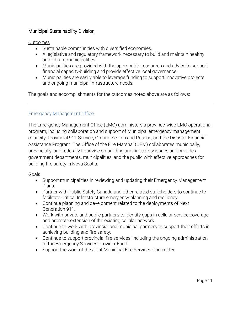# Municipal Sustainability Division

#### Outcomes

- Sustainable communities with diversified economies.
- A legislative and regulatory framework necessary to build and maintain healthy and vibrant municipalities.
- Municipalities are provided with the appropriate resources and advice to support financial capacity-building and provide effective local governance.
- Municipalities are easily able to leverage funding to support innovative projects and ongoing municipal infrastructure needs.

The goals and accomplishments for the outcomes noted above are as follows:

#### Emergency Management Office:

The Emergency Management Office (EMO) administers a province-wide EMO operational program, including collaboration and support of Municipal emergency management capacity, Provincial 911 Service, Ground Search and Rescue, and the Disaster Financial Assistance Program. The Office of the Fire Marshal (OFM) collaborates municipally, provincially, and federally to advise on building and fire safety issues and provides government departments, municipalities, and the public with effective approaches for building fire safety in Nova Scotia.

#### **Goals**

- Support municipalities in reviewing and updating their Emergency Management Plans.
- Partner with Public Safety Canada and other related stakeholders to continue to facilitate Critical Infrastructure emergency planning and resiliency.
- Continue planning and development related to the deployments of Next Generation 911.
- Work with private and public partners to identify gaps in cellular service coverage and promote extension of the existing cellular network.
- Continue to work with provincial and municipal partners to support their efforts in achieving building and fire safety.
- Continue to support provincial fire services, including the ongoing administration of the Emergency Services Provider Fund.
- Support the work of the Joint Municipal Fire Services Committee.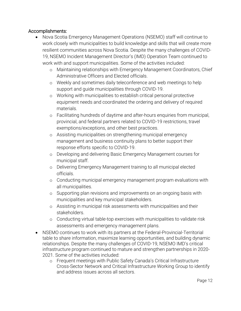# Accomplishments:

- Nova Scotia Emergency Management Operations (NSEMO) staff will continue to work closely with municipalities to build knowledge and skills that will create more resilient communities across Nova Scotia. Despite the many challenges of COVID-19, NSEMO Incident Management Director's (IMD) Operation Team continued to work with and support municipalities. Some of the activities included:
	- o Maintaining relationships with Emergency Management Coordinators, Chief Administrative Officers and Elected officials.
	- o Weekly and sometimes daily teleconference and web meetings to help support and guide municipalities through COVID-19.
	- o Working with municipalities to establish critical personal protective equipment needs and coordinated the ordering and delivery of required materials.
	- o Facilitating hundreds of daytime and after-hours enquiries from municipal, provincial, and federal partners related to COVID-19 restrictions, travel exemptions/exceptions, and other best practices.
	- o Assisting municipalities on strengthening municipal emergency management and business continuity plans to better support their response efforts specific to COVID-19.
	- o Developing and delivering Basic Emergency Management courses for municipal staff.
	- o Delivering Emergency Management training to all municipal elected officials.
	- o Conducting municipal emergency management program evaluations with all municipalities.
	- o Supporting plan revisions and improvements on an ongoing basis with municipalities and key municipal stakeholders.
	- o Assisting in municipal risk assessments with municipalities and their stakeholders.
	- o Conducting virtual table-top exercises with municipalities to validate risk assessments and emergency management plans.
- NSEMO continues to work with its partners at the Federal-Provincial-Territorial table to share information, maximize learning opportunities, and building dynamic relationships. Despite the many challenges of COVID-19, NSEMO IMD's critical infrastructure program continued to mature and strengthen partnerships in 2020- 2021. Some of the activities included:
	- o Frequent meetings with Public Safety Canada's Critical Infrastructure Cross-Sector Network and Critical Infrastructure Working Group to identify and address issues across all sectors.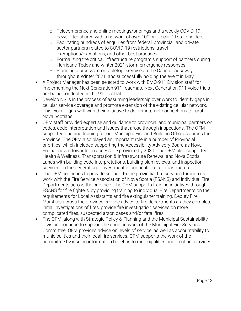- o Teleconference and online meetings/briefings and a weekly COVID-19 newsletter shared with a network of over 100 provincial CI stakeholders.
- o Facilitating hundreds of enquiries from federal, provincial, and private sector partners related to COVID-19 restrictions, travel exemptions/exceptions, and other best practices.
- o Formalizing the critical infrastructure program's support of partners during Hurricane Teddy and winter 2021 storm emergency responses.
- o Planning a cross-sector tabletop exercise on the Canso Causeway throughout Winter 2021, and successfully holding the event in May.
- A Project Manager has been selected to work with EMO-911 Division staff for implementing the Next Generation 911 roadmap. Next Generation 911 voice trials are being conducted in the 911 test lab.
- Develop NS is in the process of assuming leadership over work to identify gaps in cellular service coverage and promote extension of the existing cellular network. This work aligns well with their initiative to deliver internet connections to rural Nova Scotians.
- OFM staff provided expertise and guidance to provincial and municipal partners on codes, code interpretation and issues that arose through inspections. The OFM supported ongoing training for our Municipal Fire and Building Officials across the Province. The OFM also played an important role in a number of Provincial priorities, which included supporting the Accessibility Advisory Board as Nova Scotia moves towards an accessible province by 2030. The OFM also supported Health & Wellness, Transportation & Infrastructure Renewal and Nova Scotia Lands with building code interpretations, building plan reviews, and inspection services on the generational investment in our health care infrastructure.
- The OFM continues to provide support to the provincial fire services through its work with the Fire Service Association of Nova Scotia (FSANS) and individual Fire Departments across the province. The OFM supports training initiatives through FSANS for fire fighters, by providing training to individual Fire Departments on the requirements for Local Assistants and fire extinguisher training. Deputy Fire Marshals across the province provide advice to fire departments as they complete initial investigations of fires, provide fire investigation services on more complicated fires, suspected arson cases and/or fatal fires.
- The OFM, along with Strategic Policy & Planning and the Municipal Sustainability Division, continue to support the ongoing work of the Municipal Fire Services Committee. OFM provides advice on levels of service, as well as accountability to municipalities and their local fire services. OFM supports the work of the committee by issuing information bulletins to municipalities and local fire services.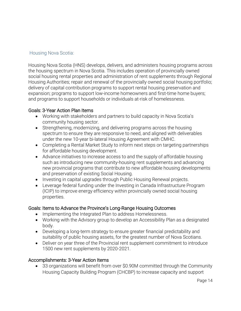# Housing Nova Scotia:

Housing Nova Scotia (HNS) develops, delivers, and administers housing programs across the housing spectrum in Nova Scotia. This includes operation of provincially owned social housing rental properties and administration of rent supplements through Regional Housing Authorities; repair and renewal of the provincially owned social housing portfolio; delivery of capital contribution programs to support rental housing preservation and expansion; programs to support low-income homeowners and first-time home buyers; and programs to support households or individuals at-risk of homelessness.

#### Goals: 3-Year Action Plan Items

- Working with stakeholders and partners to build capacity in Nova Scotia's community housing sector.
- Strengthening, modernizing, and delivering programs across the housing spectrum to ensure they are responsive to need, and aligned with deliverables under the new 10-year bi-lateral Housing Agreement with CMHC.
- Completing a Rental Market Study to inform next steps on targeting partnerships for affordable housing development.
- Advance initiatives to increase access to and the supply of affordable housing such as introducing new community-housing rent supplements and advancing new provincial programs that contribute to new affordable housing developments and preservation of existing Social Housing.
- Investing in capital upgrades through Public Housing Renewal projects.
- Leverage federal funding under the Investing in Canada Infrastructure Program (ICIP) to improve energy efficiency within provincially owned social housing properties.

# Goals: Items to Advance the Province's Long-Range Housing Outcomes

- Implementing the Integrated Plan to address Homelessness.
- Working with the Advisory group to develop an Accessibility Plan as a designated body.
- Developing a long-term strategy to ensure greater financial predictability and suitability of public housing assets, for the greatest number of Nova Scotians.
- Deliver on year three of the Provincial rent supplement commitment to introduce 1500 new rent supplements by 2020-2021.

# Accomplishments: 3-Year Action Items

• 33 organizations will benefit from over \$0.90M committed through the Community Housing Capacity Building Program (CHCBP) to increase capacity and support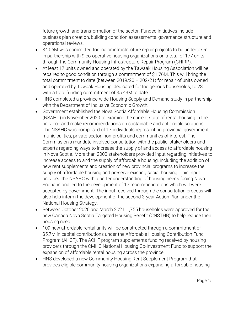future growth and transformation of the sector. Funded initiatives include business plan creation, building condition assessments, governance structure and operational reviews.

- \$4.06M was committed for major infrastructure repair projects to be undertaken in partnership with 9 co-operative housing organizations on a total of 177 units through the Community Housing Infrastructure Repair Program (CHIRP).
- At least 17 units owned and operated by the Tawaak Housing Association will be repaired to good condition through a commitment of \$1.76M. This will bring the total commitment to date (between 2019/20 – 202/21) for repair of units owned and operated by Tawaak Housing, dedicated for Indigenous households, to 23 with a total funding commitment of \$5.43M to date.
- HNS completed a province-wide Housing Supply and Demand study in partnership with the Department of Inclusive Economic Growth.
- Government established the Nova Scotia Affordable Housing Commission (NSAHC) in November 2020 to examine the current state of rental housing in the province and make recommendations on sustainable and actionable solutions. The NSAHC was comprised of 17 individuals representing provincial government, municipalities, private sector, non-profits and communities of interest. The Commission's mandate involved consultation with the public, stakeholders and experts regarding ways to increase the supply of and access to affordable housing in Nova Scotia. More than 2000 stakeholders provided input regarding initiatives to increase access to and the supply of affordable housing, including the addition of new rent supplements and creation of new provincial programs to increase the supply of affordable housing and preserve existing social housing. This input provided the NSAHC with a better understanding of housing needs facing Nova Scotians and led to the development of 17 recommendations which will were accepted by government. The input received through the consultation process will also help inform the development of the second 3-year Action Plan under the National Housing Strategy.
- Between October 2020 and March 2021, 1,755 households were approved for the new Canada Nova Scotia Targeted Housing Benefit (CNSTHB) to help reduce their housing need.
- 109 new affordable rental units will be constructed through a commitment of \$5.7M in capital contributions under the Affordable Housing Contribution Fund Program (AHCF). The ACHF program supplements funding received by housing providers through the CMHC National Housing Co-Investment Fund to support the expansion of affordable rental housing across the province.
- HNS developed a new Community Housing Rent Supplement Program that provides eligible community housing organizations expanding affordable housing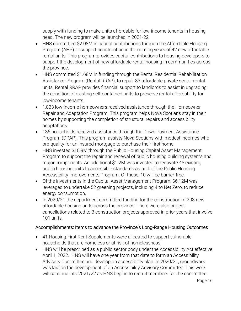supply with funding to make units affordable for low-income tenants in housing need. The new program will be launched in 2021-22.

- HNS committed \$2.08M in capital contributions through the Affordable Housing Program (AHP) to support construction in the coming years of 42 new affordable rental units. This program provides capital contributions to housing developers to support the development of new affordable rental housing in communities across the province.
- HNS committed \$1.68M in funding through the Rental Residential Rehabilitation Assistance Program (Rental RRAP), to repair 83 affordable private sector rental units. Rental RRAP provides financial support to landlords to assist in upgrading the condition of existing self-contained units to preserve rental affordability for low-income tenants.
- 1,833 low-income homeowners received assistance through the Homeowner Repair and Adaptation Program. This program helps Nova Scotians stay in their homes by supporting the completion of structural repairs and accessibility adaptations.
- 136 households received assistance through the Down Payment Assistance Program (DPAP). This program assists Nova Scotians with modest incomes who pre-quality for an insured mortgage to purchase their first home.
- HNS invested \$16.9M through the Public Housing Capital Asset Management Program to support the repair and renewal of public housing building systems and major components. An additional \$1.2M was invested to renovate 45 existing public housing units to accessible standards as part of the Public Housing Accessibility Improvements Program. Of these, 10 will be barrier-free.
- Of the investments in the Capital Asset Management Program, \$6.12M was leveraged to undertake 52 greening projects, including 4 to Net Zero, to reduce energy consumption.
- In 2020/21 the department committed funding for the construction of 203 new affordable housing units across the province. There were also project cancellations related to 3 construction projects approved in prior years that involve 101 units.

# Accomplishments: Items to advance the Province's Long-Range Housing Outcomes

- 41 Housing First Rent Supplements were allocated to support vulnerable households that are homeless or at risk of homelessness.
- HNS will be prescribed as a public sector body under the Accessibility Act effective April 1, 2022. HNS will have one year from that date to form an Accessibility Advisory Committee and develop an accessibility plan. In 2020/21, groundwork was laid on the development of an Accessibility Advisory Committee. This work will continue into 2021/22 as HNS begins to recruit members for the committee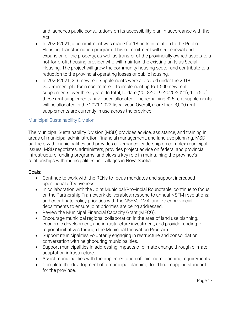and launches public consultations on its accessibility plan in accordance with the Act.

- In 2020-2021, a commitment was made for 18 units in relation to the Public Housing Transformation program. This commitment will see renewal and expansion of the property, as well as transfer of the provincially owned assets to a not-for-profit housing provider who will maintain the existing units as Social Housing. The project will grow the community housing sector and contribute to a reduction to the provincial operating losses of public housing.
- In 2020-2021, 216 new rent supplements were allocated under the 2018 Government platform commitment to implement up to 1,500 new rent supplements over three years. In total, to date (2018-2019 -2020-2021), 1,175 of these rent supplements have been allocated. The remaining 325 rent supplements will be allocated in the 2021-2022 fiscal year. Overall, more than 3,000 rent supplements are currently in use across the province.

#### Municipal Sustainability Division:

The Municipal Sustainability Division (MSD) provides advice, assistance, and training in areas of municipal administration, financial management, and land use planning. MSD partners with municipalities and provides governance leadership on complex municipal issues. MSD negotiates, administers, provides project advice on federal and provincial infrastructure funding programs, and plays a key role in maintaining the province's relationships with municipalities and villages in Nova Scotia.

#### Goals:

- Continue to work with the RENs to focus mandates and support increased operational effectiveness.
- In collaboration with the Joint Municipal/Provincial Roundtable, continue to focus on the Partnership Framework deliverables; respond to annual NSFM resolutions; and coordinate policy priorities with the NSFM, DMA, and other provincial departments to ensure joint priorities are being addressed.
- Review the Municipal Financial Capacity Grant (MFCG).
- Encourage municipal regional collaboration in the area of land use planning, economic development, and infrastructure investment, and provide funding for regional initiatives through the Municipal Innovation Program.
- Support municipalities voluntarily engaging in restructure and consolidation conversation with neighbouring municipalities.
- Support municipalities in addressing impacts of climate change through climate adaptation infrastructure.
- Assist municipalities with the implementation of minimum planning requirements.
- Complete the development of a municipal planning flood line mapping standard for the province.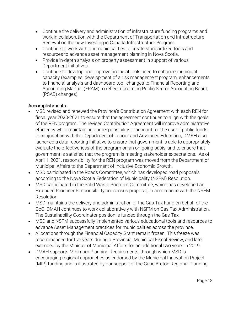- Continue the delivery and administration of infrastructure funding programs and work in collaboration with the Department of Transportation and Infrastructure Renewal on the new Investing in Canada Infrastructure Program.
- Continue to work with our municipalities to create standardized tools and resources to advance asset management planning in Nova Scotia.
- Provide in-depth analysis on property assessment in support of various Department initiatives.
- Continue to develop and improve financial tools used to enhance municipal capacity (examples: development of a risk management program, enhancements to financial analysis and dashboard tool, changes to Financial Reporting and Accounting Manual (FRAM) to reflect upcoming Public Sector Accounting Board (PSAB) changes).

# Accomplishments:

- MSD revised and renewed the Province's Contribution Agreement with each REN for fiscal year 2020-2021 to ensure that the agreement continues to align with the goals of the REN program. The revised Contribution Agreement will improve administrative efficiency while maintaining our responsibility to account for the use of public funds. In conjunction with the Department of Labour and Advanced Education, DMAH also launched a data reporting initiative to ensure that government is able to appropriately evaluate the effectiveness of the program on an on-going basis, and to ensure that government is satisfied that the program is meeting stakeholder expectations. As of April 1, 2021, responsibility for the REN program was moved from the Department of Municipal Affairs to the Department of Inclusive Economic Growth.
- MSD participated in the Roads Committee, which has developed road proposals according to the Nova Scotia Federation of Municipality (NSFM) Resolution.
- MSD participated in the Solid Waste Priorities Committee, which has developed an Extended Producer Responsibility consensus proposal, in accordance with the NSFM Resolution.
- MSD maintains the delivery and administration of the Gas Tax Fund on behalf of the GoC. DMAH continues to work collaboratively with NSFM on Gas Tax Administration. The Sustainability Coordinator position is funded through the Gas Tax.
- MSD and NSFM successfully implemented various educational tools and resources to advance Asset Management practices for municipalities across the province.
- Allocations through the Financial Capacity Grant remain frozen. This freeze was recommended for five years during a Provincial Municipal Fiscal Review, and later extended by the Minister of Municipal Affairs for an additional two years in 2019.
- DMAH supports Minimum Planning Requirements, through which MSD is encouraging regional approaches as endorsed by the Municipal Innovation Project (MIP) funding and is illustrated by our support of the Cape Breton Regional Planning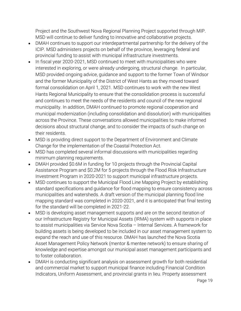Project and the Southwest Nova Regional Planning Project supported through MIP. MSD will continue to deliver funding to innovative and collaborative projects.

- DMAH continues to support our interdepartmental partnership for the delivery of the ICIP. MSD administers projects on behalf of the province, leveraging federal and provincial funding to assist with municipal infrastructure investments.
- In fiscal year 2020-2021, MSD continued to meet with municipalities who were interested in exploring, or were already undergoing, structural change. In particular, MSD provided ongoing advice, guidance and support to the former Town of Windsor and the former Municipality of the District of West Hants as they moved toward formal consolidation on April 1, 2021. MSD continues to work with the new West Hants Regional Municipality to ensure that the consolidation process is successful and continues to meet the needs of the residents and council of the new regional municipality. In addition, DMAH continued to promote regional cooperation and municipal modernization (including consolidation and dissolution) with municipalities across the Province. These conversations allowed municipalities to make informed decisions about structural change, and to consider the impacts of such change on their residents.
- MSD is providing direct support to the Department of Environment and Climate Change for the implementation of the Coastal Protection Act.
- MSD has completed several informal discussions with municipalities regarding minimum planning requirements.
- DMAH provided \$0.6M in funding for 10 projects through the Provincial Capital Assistance Program and \$0.2M for 5 projects through the Flood Risk Infrastructure Investment Program in 2020-2021 to support municipal infrastructure projects.
- MSD continues to support the Municipal Flood Line Mapping Project by establishing standard specifications and guidance for flood mapping to ensure consistency across municipalities and watersheds. A draft version of the municipal planning flood line mapping standard was completed in 2020-2021, and it is anticipated that final testing for the standard will be completed in 2021-22.
- MSD is developing asset management supports and are on the second iteration of our Infrastructure Registry for Municipal Assets (IRMA) system with supports in place to assist municipalities via Service Nova Scotia – Internal Services. A framework for building assets is being developed to be included in our asset management system to expand the reach and use of this resource. DMAH has launched the Nova Scotia Asset Management Policy Network (mentor & mentee network) to ensure sharing of knowledge and expertise amongst our municipal asset management participants and to foster collaboration.
- DMAH is conducting significant analysis on assessment growth for both residential and commercial market to support municipal finance including Financial Condition Indicators, Uniform Assessment, and provincial grants in lieu. Property assessment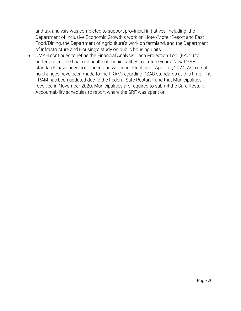and tax analysis was completed to support provincial initiatives, including: the Department of Inclusive Economic Growth's work on Hotel/Motel/Resort and Fast Food/Dining, the Department of Agriculture's work on farmland, and the Department of Infrastructure and Housing's study on public housing units.

• DMAH continues to refine the Financial Analysis Cash Projection Tool (FACT) to better project the financial health of municipalities for future years. New PSAB standards have been postponed and will be in effect as of April 1st, 2024. As a result, no changes have been made to the FRAM regarding PSAB standards at this time. The FRAM has been updated due to the Federal Safe Restart Fund that Municipalities received in November 2020. Municipalities are required to submit the Safe Restart Accountability schedules to report where the SRF was spent on.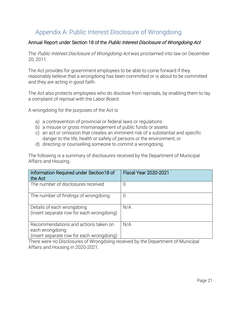# Appendix A: Public Interest Disclosure of Wrongdoing

# Annual Report under Section 18 of the Public Interest Disclosure of Wrongdoing Act

The Public Interest Disclosure of Wrongdoing Act was proclaimed into law on December 20, 2011.

The Act provides for government employees to be able to come forward if they reasonably believe that a wrongdoing has been committed or is about to be committed and they are acting in good faith.

The Act also protects employees who do disclose from reprisals, by enabling them to lay a complaint of reprisal with the Labor Board.

A wrongdoing for the purposes of the Act is:

- a) a contravention of provincial or federal laws or regulations
- b) a misuse or gross mismanagement of public funds or assets
- c) an act or omission that creates an imminent risk of a substantial and specific danger to the life, health or safety of persons or the environment, or
- d) directing or counselling someone to commit a wrongdoing.

The following is a summary of disclosures received by the Department of Municipal Affairs and Housing.

| Information Required under Section18 of<br>the Act                                                   | <b>Fiscal Year 2020-2021</b> |
|------------------------------------------------------------------------------------------------------|------------------------------|
| The number of disclosures received                                                                   | U                            |
| The number of findings of wrongdoing                                                                 | U                            |
| Details of each wrongdoing<br>(insert separate row for each wrongdoing)                              | N/A                          |
| Recommendations and actions taken on<br>each wrongdoing<br>(insert separate row for each wrongdoing) | N/A                          |

There were no Disclosures of Wrongdoing received by the Department of Municipal Affairs and Housing in 2020-2021.